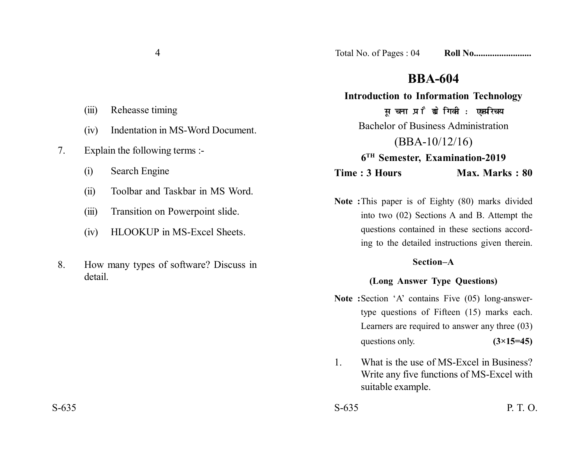# **BBA-604**

**Introduction to Information Technology** सूचना प्रौद्योगिकी : एकपरिचय Bachelor of Business Administration (BBA-10/12/16) **6TH Semester, Examination-2019 Time : 3 Hours Max. Marks : 80** 

**Note :**This paper is of Eighty (80) marks divided into two (02) Sections A and B. Attempt the questions contained in these sections according to the detailed instructions given therein.

## **Section–A**

# **(Long Answer Type Questions)**

- **Note :**Section 'A' contains Five (05) long-answertype questions of Fifteen (15) marks each. Learners are required to answer any three (03) questions only.  $(3\times15=45)$
- 1. What is the use of MS-Excel in Business? Write any five functions of MS-Excel with suitable example.

 $S-635$  P. T. O.

- (iii) Reheasse timing
- (iv) Indentation in MS-Word Document.
- 7. Explain the following terms :-
	- (i) Search Engine
	- (ii) Toolbar and Taskbar in MS Word.
	- (iii) Transition on Powerpoint slide.
	- (iv) HLOOKUP in MS-Excel Sheets.
- 8. How many types of software? Discuss in detail.